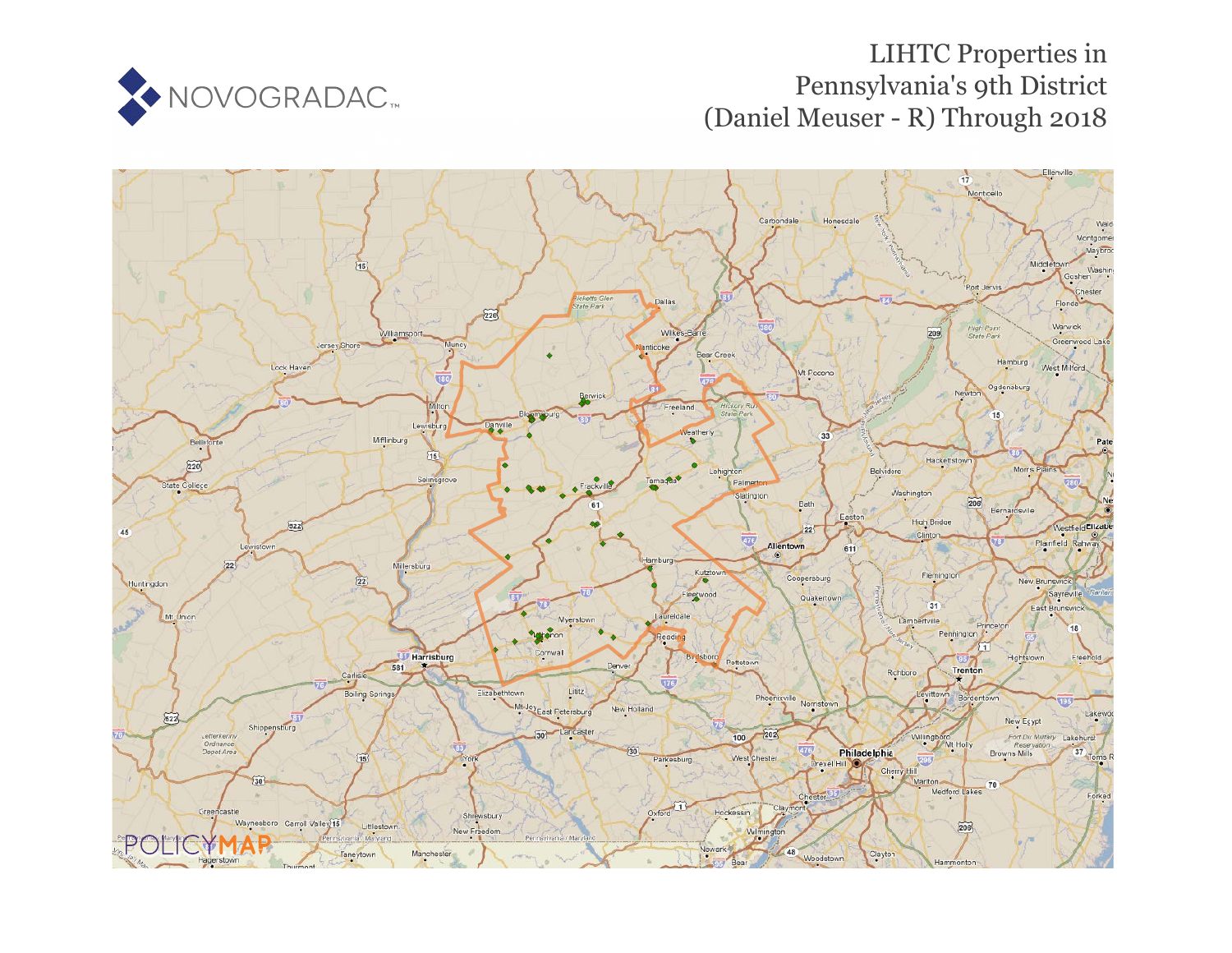

# LIHTC Properties in Pennsylvania's 9th District (Daniel Meuser - R) Through 2018

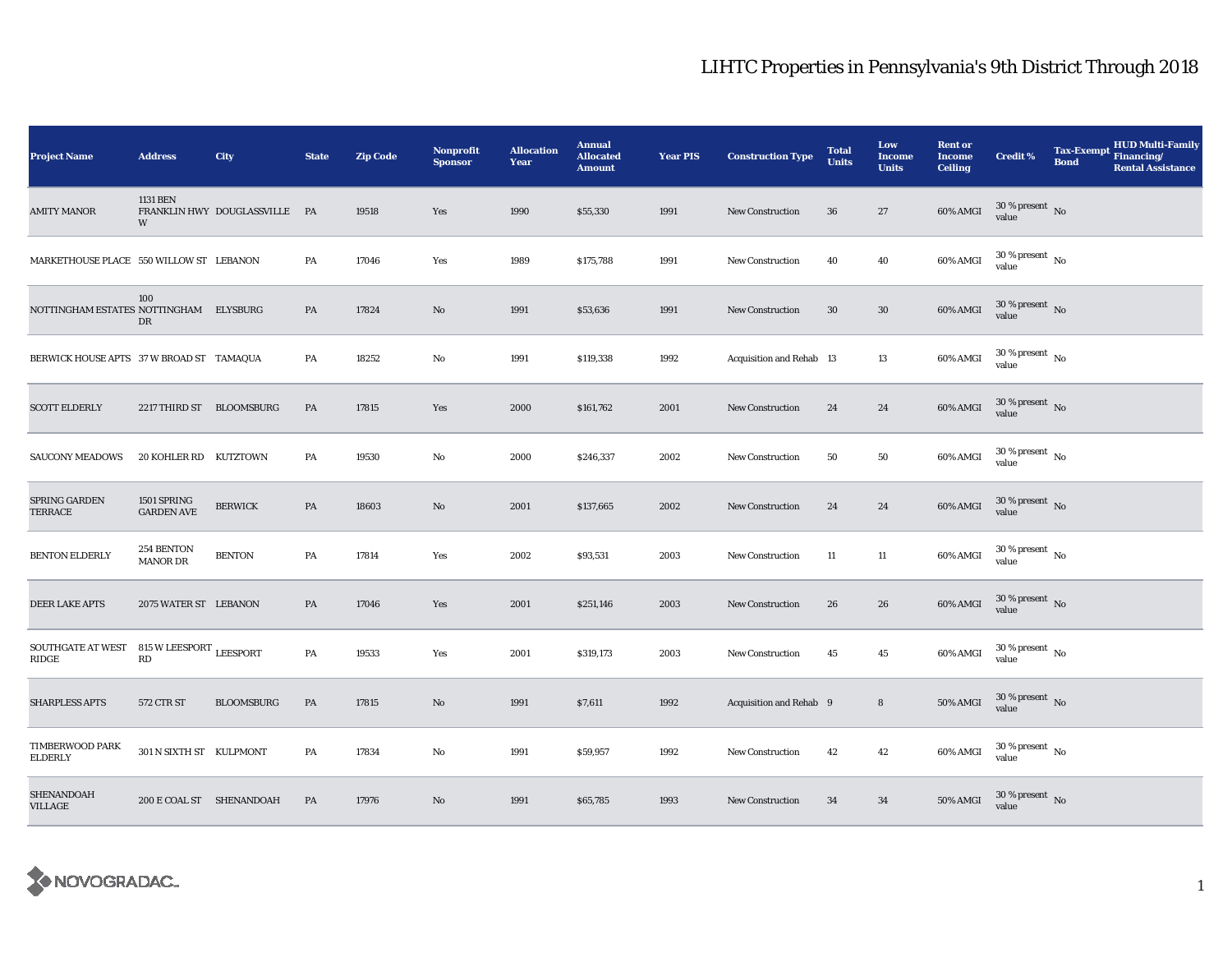| <b>Project Name</b>                                | <b>Address</b>                   | City                          | <b>State</b>  | <b>Zip Code</b> | <b>Nonprofit</b><br><b>Sponsor</b> | <b>Allocation</b><br>Year | <b>Annual</b><br><b>Allocated</b><br><b>Amount</b> | <b>Year PIS</b> | <b>Construction Type</b> | <b>Total</b><br><b>Units</b> | Low<br>Income<br><b>Units</b> | <b>Rent or</b><br><b>Income</b><br><b>Ceiling</b> | Credit %                               | <b>Tax-Exempt</b><br><b>Bond</b> | <b>HUD Multi-Family</b><br>Financing/<br><b>Rental Assistance</b> |
|----------------------------------------------------|----------------------------------|-------------------------------|---------------|-----------------|------------------------------------|---------------------------|----------------------------------------------------|-----------------|--------------------------|------------------------------|-------------------------------|---------------------------------------------------|----------------------------------------|----------------------------------|-------------------------------------------------------------------|
| <b>AMITY MANOR</b>                                 | 1131 BEN<br>W                    | FRANKLIN HWY DOUGLASSVILLE PA |               | 19518           | Yes                                | 1990                      | \$55,330                                           | 1991            | <b>New Construction</b>  | 36                           | 27                            | 60% AMGI                                          | $30$ % present $\,$ No $\,$<br>value   |                                  |                                                                   |
| MARKETHOUSE PLACE 550 WILLOW ST LEBANON            |                                  |                               | PA            | 17046           | Yes                                | 1989                      | \$175,788                                          | 1991            | <b>New Construction</b>  | 40                           | 40                            | 60% AMGI                                          | $30\,\%$ present $\,$ No $\,$<br>value |                                  |                                                                   |
| NOTTINGHAM ESTATES NOTTINGHAM ELYSBURG             | 100<br>DR                        |                               | PA            | 17824           | No                                 | 1991                      | \$53,636                                           | 1991            | New Construction         | 30                           | $30\,$                        | 60% AMGI                                          | $30$ % present $\,$ No value           |                                  |                                                                   |
| BERWICK HOUSE APTS 37 W BROAD ST TAMAQUA           |                                  |                               | PA            | 18252           | No                                 | 1991                      | \$119,338                                          | 1992            | Acquisition and Rehab 13 |                              | 13                            | 60% AMGI                                          | $30$ % present $\,$ No $\,$<br>value   |                                  |                                                                   |
| <b>SCOTT ELDERLY</b>                               | 2217 THIRD ST BLOOMSBURG         |                               | $\mathbf{PA}$ | 17815           | Yes                                | 2000                      | \$161,762                                          | 2001            | <b>New Construction</b>  | 24                           | 24                            | 60% AMGI                                          | $30$ % present $\,$ No $\,$<br>value   |                                  |                                                                   |
| <b>SAUCONY MEADOWS</b>                             | 20 KOHLER RD KUTZTOWN            |                               | PA            | 19530           | $\mathbf{No}$                      | 2000                      | \$246,337                                          | 2002            | <b>New Construction</b>  | 50                           | 50                            | 60% AMGI                                          | $30$ % present $\,$ No $\,$<br>value   |                                  |                                                                   |
| SPRING GARDEN<br>TERRACE                           | 1501 SPRING<br><b>GARDEN AVE</b> | <b>BERWICK</b>                | PA            | 18603           | No                                 | 2001                      | \$137,665                                          | 2002            | <b>New Construction</b>  | 24                           | 24                            | 60% AMGI                                          | $30\,\%$ present $\,$ No value         |                                  |                                                                   |
| <b>BENTON ELDERLY</b>                              | 254 BENTON<br><b>MANOR DR</b>    | <b>BENTON</b>                 | PA            | 17814           | Yes                                | 2002                      | \$93,531                                           | 2003            | <b>New Construction</b>  | 11                           | 11                            | 60% AMGI                                          | $30\,\%$ present $\,$ No value         |                                  |                                                                   |
| DEER LAKE APTS                                     | 2075 WATER ST LEBANON            |                               | PA            | 17046           | Yes                                | 2001                      | \$251,146                                          | 2003            | New Construction         | 26                           | 26                            | 60% AMGI                                          | $30$ % present $\,$ No $\,$<br>value   |                                  |                                                                   |
| SOUTHGATE AT WEST 815 W LEESPORT LEESPORT<br>RIDGE | RD                               |                               | PA            | 19533           | Yes                                | 2001                      | \$319,173                                          | 2003            | New Construction         | 45                           | 45                            | 60% AMGI                                          | $30\,\%$ present $\,$ No $\,$<br>value |                                  |                                                                   |
| <b>SHARPLESS APTS</b>                              | 572 CTR ST                       | <b>BLOOMSBURG</b>             | PA            | 17815           | No                                 | 1991                      | \$7,611                                            | 1992            | Acquisition and Rehab 9  |                              | 8                             | <b>50% AMGI</b>                                   | $30$ % present $\,$ No $\,$<br>value   |                                  |                                                                   |
| <b>TIMBERWOOD PARK</b><br><b>ELDERLY</b>           | 301 N SIXTH ST KULPMONT          |                               | PA            | 17834           | No                                 | 1991                      | \$59,957                                           | 1992            | <b>New Construction</b>  | 42                           | $42\,$                        | 60% AMGI                                          | $30$ % present $\,$ No $\,$<br>value   |                                  |                                                                   |
| SHENANDOAH<br>VILLAGE                              | 200 E COAL ST SHENANDOAH         |                               | PA            | 17976           | No                                 | 1991                      | \$65,785                                           | 1993            | <b>New Construction</b>  | 34                           | 34                            | 50% AMGI                                          | $30$ % present $\,$ No $\,$<br>value   |                                  |                                                                   |

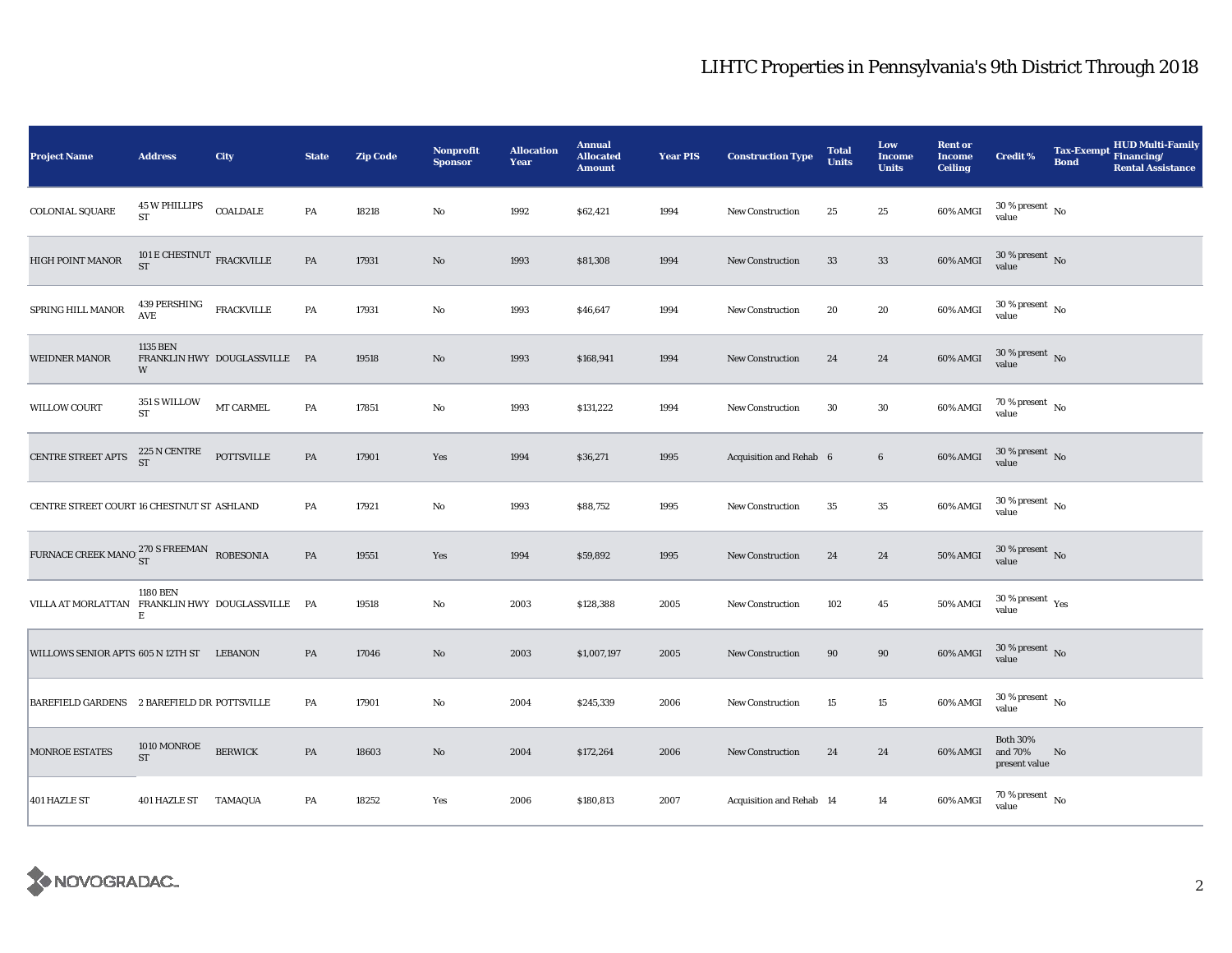| <b>Project Name</b>                              | <b>Address</b>                               | City                          | <b>State</b>  | <b>Zip Code</b> | Nonprofit<br><b>Sponsor</b> | <b>Allocation</b><br>Year | <b>Annual</b><br><b>Allocated</b><br><b>Amount</b> | <b>Year PIS</b> | <b>Construction Type</b> | <b>Total</b><br><b>Units</b> | Low<br><b>Income</b><br><b>Units</b> | <b>Rent or</b><br><b>Income</b><br><b>Ceiling</b> | <b>Credit %</b>                             | <b>HUD Multi-Family</b><br>Tax-Exempt Financing/<br><b>Bond</b><br><b>Rental Assistance</b> |
|--------------------------------------------------|----------------------------------------------|-------------------------------|---------------|-----------------|-----------------------------|---------------------------|----------------------------------------------------|-----------------|--------------------------|------------------------------|--------------------------------------|---------------------------------------------------|---------------------------------------------|---------------------------------------------------------------------------------------------|
| <b>COLONIAL SQUARE</b>                           | <b>45 W PHILLIPS</b><br>ST                   | COALDALE                      | PA            | 18218           | $\mathbf{No}$               | 1992                      | \$62,421                                           | 1994            | New Construction         | 25                           | 25                                   | 60% AMGI                                          | $30\,\%$ present $\,$ No value              |                                                                                             |
| HIGH POINT MANOR                                 | 101 ${\rm E}$ CHESTNUT ${\rm FRACKVILLE}$ ST |                               | $\mathbf{PA}$ | 17931           | No                          | 1993                      | \$81,308                                           | 1994            | New Construction         | 33                           | 33                                   | 60% AMGI                                          | $30\,\%$ present $\,$ No $\,$<br>value      |                                                                                             |
| SPRING HILL MANOR                                | 439 PERSHING<br>AVE                          | <b>FRACKVILLE</b>             | $\mathbf{PA}$ | 17931           | $\mathbf{No}$               | 1993                      | \$46,647                                           | 1994            | <b>New Construction</b>  | 20                           | $\bf{20}$                            | 60% AMGI                                          | $30\,\%$ present $\,$ No value              |                                                                                             |
| <b>WEIDNER MANOR</b>                             | 1135 BEN<br>W                                | FRANKLIN HWY DOUGLASSVILLE PA |               | 19518           | No                          | 1993                      | \$168,941                                          | 1994            | <b>New Construction</b>  | 24                           | 24                                   | $60\%$ AMGI                                       | $30\,\%$ present $\,$ No value              |                                                                                             |
| <b>WILLOW COURT</b>                              | 351 S WILLOW<br><b>ST</b>                    | MT CARMEL                     | $\mathbf{PA}$ | 17851           | No                          | 1993                      | \$131,222                                          | 1994            | <b>New Construction</b>  | 30                           | $30\,$                               | 60% AMGI                                          | $70\,\%$ present $\,$ No value              |                                                                                             |
| CENTRE STREET APTS                               | 225 N CENTRE<br>ST                           | <b>POTTSVILLE</b>             | $\mathbf{PA}$ | 17901           | Yes                         | 1994                      | \$36,271                                           | 1995            | Acquisition and Rehab 6  |                              | $\boldsymbol{6}$                     | 60% AMGI                                          | $30\,\%$ present $\,$ No value              |                                                                                             |
| CENTRE STREET COURT 16 CHESTNUT ST ASHLAND       |                                              |                               | PA            | 17921           | $\mathbf{No}$               | 1993                      | \$88,752                                           | 1995            | <b>New Construction</b>  | $35\,$                       | $\bf 35$                             | 60% AMGI                                          | $30\,\%$ present $\,$ No value              |                                                                                             |
| FURNACE CREEK MANO 270 S FREEMAN ROBESONIA       |                                              |                               | PA            | 19551           | Yes                         | 1994                      | \$59,892                                           | 1995            | New Construction         | 24                           | 24                                   | 50% AMGI                                          | $30\,\%$ present $\,$ No value              |                                                                                             |
| VILLA AT MORLATTAN FRANKLIN HWY DOUGLASSVILLE PA | <b>1180 BEN</b><br>Е                         |                               |               | 19518           | No                          | 2003                      | \$128,388                                          | 2005            | <b>New Construction</b>  | 102                          | $45\,$                               | 50% AMGI                                          | $30\,\%$ present $\,$ Yes value             |                                                                                             |
| WILLOWS SENIOR APTS 605 N 12TH ST LEBANON        |                                              |                               | PA            | 17046           | No                          | 2003                      | \$1,007,197                                        | 2005            | <b>New Construction</b>  | 90                           | 90                                   | 60% AMGI                                          | $30\,\%$ present $\,$ No value              |                                                                                             |
| BAREFIELD GARDENS 2 BAREFIELD DR POTTSVILLE      |                                              |                               | PA            | 17901           | No                          | 2004                      | \$245,339                                          | 2006            | New Construction         | 15                           | 15                                   | 60% AMGI                                          | $30\,\%$ present $\,$ No value              |                                                                                             |
| MONROE ESTATES                                   | 1010 MONROE<br>${\rm ST}$                    | <b>BERWICK</b>                | $\mathbf{PA}$ | 18603           | $\mathbf{N}\mathbf{o}$      | 2004                      | \$172,264                                          | 2006            | New Construction         | 24                           | 24                                   | 60% AMGI                                          | <b>Both 30%</b><br>and 70%<br>present value | N <sub>0</sub>                                                                              |
| 401 HAZLE ST                                     | 401 HAZLE ST TAMAQUA                         |                               | PA            | 18252           | Yes                         | 2006                      | \$180,813                                          | 2007            | Acquisition and Rehab 14 |                              | 14                                   | 60% AMGI                                          | $70\,\%$ present $${\rm No}$$ value         |                                                                                             |

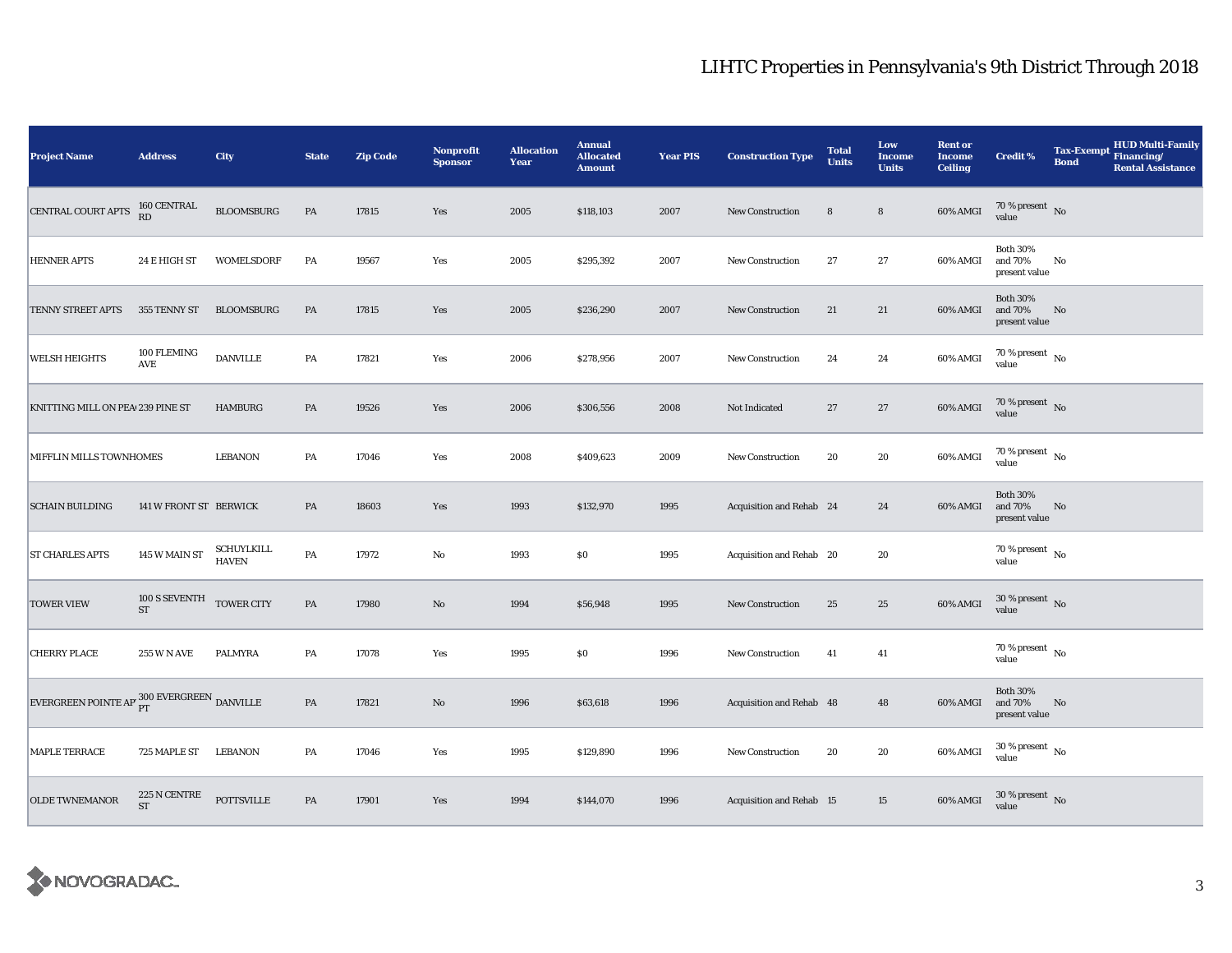| <b>Project Name</b>                                      | <b>Address</b>                         | City                | <b>State</b>  | <b>Zip Code</b> | <b>Nonprofit</b><br><b>Sponsor</b> | <b>Allocation</b><br>Year | <b>Annual</b><br><b>Allocated</b><br><b>Amount</b> | <b>Year PIS</b> | <b>Construction Type</b> | <b>Total</b><br><b>Units</b> | Low<br><b>Income</b><br><b>Units</b> | <b>Rent or</b><br><b>Income</b><br><b>Ceiling</b> | <b>Credit %</b>                             | <b>Tax-Exempt</b><br><b>Bond</b> | HUD Multi-Family<br>Financing/<br><b>Rental Assistance</b> |
|----------------------------------------------------------|----------------------------------------|---------------------|---------------|-----------------|------------------------------------|---------------------------|----------------------------------------------------|-----------------|--------------------------|------------------------------|--------------------------------------|---------------------------------------------------|---------------------------------------------|----------------------------------|------------------------------------------------------------|
| CENTRAL COURT APTS                                       | 160 CENTRAL<br>RD                      | <b>BLOOMSBURG</b>   | PA            | 17815           | Yes                                | 2005                      | \$118,103                                          | 2007            | <b>New Construction</b>  | 8                            | $\bf 8$                              | 60% AMGI                                          | $70\,\%$ present $\,$ No value              |                                  |                                                            |
| <b>HENNER APTS</b>                                       | 24 E HIGH ST                           | <b>WOMELSDORF</b>   | PA            | 19567           | Yes                                | 2005                      | \$295,392                                          | 2007            | <b>New Construction</b>  | 27                           | 27                                   | 60% AMGI                                          | <b>Both 30%</b><br>and 70%<br>present value | No                               |                                                            |
| TENNY STREET APTS                                        | 355 TENNY ST                           | <b>BLOOMSBURG</b>   | PA            | 17815           | Yes                                | 2005                      | \$236,290                                          | 2007            | <b>New Construction</b>  | 21                           | 21                                   | 60% AMGI                                          | <b>Both 30%</b><br>and 70%<br>present value | No                               |                                                            |
| <b>WELSH HEIGHTS</b>                                     | 100 FLEMING<br>AVE                     | <b>DANVILLE</b>     | PA            | 17821           | Yes                                | 2006                      | \$278,956                                          | 2007            | New Construction         | 24                           | 24                                   | 60% AMGI                                          | $70\,\%$ present $\,$ No $\,$<br>value      |                                  |                                                            |
| KNITTING MILL ON PEA 239 PINE ST                         |                                        | <b>HAMBURG</b>      | PA            | 19526           | Yes                                | 2006                      | \$306,556                                          | 2008            | Not Indicated            | 27                           | 27                                   | 60% AMGI                                          | $70\,\%$ present $\,$ No value              |                                  |                                                            |
| MIFFLIN MILLS TOWNHOMES                                  |                                        | <b>LEBANON</b>      | PA            | 17046           | Yes                                | 2008                      | \$409,623                                          | 2009            | New Construction         | 20                           | 20                                   | 60% AMGI                                          | $70\,\%$ present $\,$ No value              |                                  |                                                            |
| <b>SCHAIN BUILDING</b>                                   | 141 W FRONT ST BERWICK                 |                     | PA            | 18603           | Yes                                | 1993                      | \$132,970                                          | 1995            | Acquisition and Rehab 24 |                              | 24                                   | 60% AMGI                                          | <b>Both 30%</b><br>and 70%<br>present value | $\mathbf{No}$                    |                                                            |
| <b>ST CHARLES APTS</b>                                   | $145$ W MAIN ST $\,$                   | SCHUYLKILL<br>HAVEN | PA            | 17972           | No                                 | 1993                      | \$0                                                | 1995            | Acquisition and Rehab 20 |                              | 20                                   |                                                   | $70\,\%$ present $\,$ No value              |                                  |                                                            |
| <b>TOWER VIEW</b>                                        | 100 S SEVENTH TOWER CITY<br>${\rm ST}$ |                     | $\mathbf{PA}$ | 17980           | No                                 | 1994                      | \$56,948                                           | 1995            | New Construction         | 25                           | $\bf 25$                             | 60% AMGI                                          | $30\,\%$ present $\,$ No value              |                                  |                                                            |
| <b>CHERRY PLACE</b>                                      | <b>255 W N AVE</b>                     | PALMYRA             | PA            | 17078           | Yes                                | 1995                      | $\$0$                                              | 1996            | New Construction         | 41                           | 41                                   |                                                   | $70$ % present $\,$ No $\,$<br>value        |                                  |                                                            |
| EVERGREEN POINTE AP $^{300}_{\rm PT}$ EVERGREEN DANVILLE |                                        |                     | PA            | 17821           | $\rm\thinspace No$                 | 1996                      | \$63,618                                           | 1996            | Acquisition and Rehab 48 |                              | 48                                   | 60% AMGI                                          | <b>Both 30%</b><br>and 70%<br>present value | No                               |                                                            |
| <b>MAPLE TERRACE</b>                                     | 725 MAPLE ST LEBANON                   |                     | PA            | 17046           | Yes                                | 1995                      | \$129,890                                          | 1996            | <b>New Construction</b>  | 20                           | 20                                   | 60% AMGI                                          | $30\,\%$ present $\,$ No value              |                                  |                                                            |
| <b>OLDE TWNEMANOR</b>                                    | 225 N CENTRE<br><b>ST</b>              | <b>POTTSVILLE</b>   | PA            | 17901           | Yes                                | 1994                      | \$144,070                                          | 1996            | Acquisition and Rehab 15 |                              | 15                                   | 60% AMGI                                          | $30\,\%$ present $\,$ No value              |                                  |                                                            |

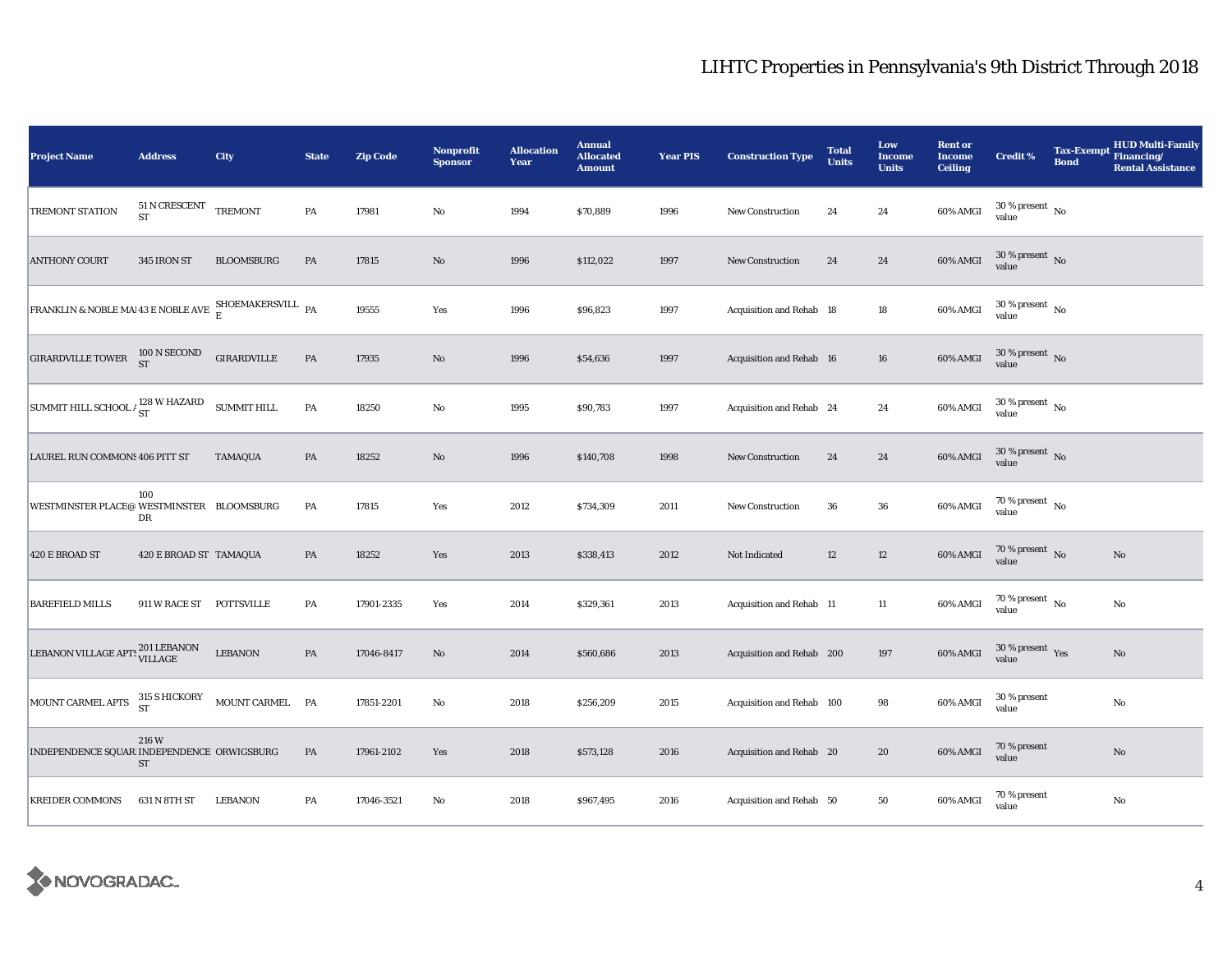| <b>Project Name</b>                                             | <b>Address</b>             | City                     | <b>State</b>  | <b>Zip Code</b> | Nonprofit<br><b>Sponsor</b> | <b>Allocation</b><br>Year | <b>Annual</b><br><b>Allocated</b><br><b>Amount</b> | <b>Year PIS</b> | <b>Construction Type</b>  | <b>Total</b><br><b>Units</b> | Low<br>Income<br><b>Units</b> | <b>Rent or</b><br><b>Income</b><br><b>Ceiling</b> | <b>Credit %</b>                      | <b>Tax-Exempt</b><br><b>Bond</b> | <b>HUD Multi-Family</b><br>Financing/<br><b>Rental Assistance</b> |
|-----------------------------------------------------------------|----------------------------|--------------------------|---------------|-----------------|-----------------------------|---------------------------|----------------------------------------------------|-----------------|---------------------------|------------------------------|-------------------------------|---------------------------------------------------|--------------------------------------|----------------------------------|-------------------------------------------------------------------|
| TREMONT STATION                                                 | 51 N CRESCENT<br><b>ST</b> | <b>TREMONT</b>           | PA            | 17981           | $\rm No$                    | 1994                      | \$70,889                                           | 1996            | New Construction          | 24                           | 24                            | 60% AMGI                                          | $30$ % present $\,$ No $\,$<br>value |                                  |                                                                   |
| <b>ANTHONY COURT</b>                                            | 345 IRON ST                | <b>BLOOMSBURG</b>        | PA            | 17815           | No                          | 1996                      | \$112,022                                          | 1997            | <b>New Construction</b>   | 24                           | ${\bf 24}$                    | 60% AMGI                                          | $30\,\%$ present $\,$ No value       |                                  |                                                                   |
| FRANKLIN & NOBLE MAI 43 E NOBLE AVE SHOEMAKERSVILL PA           |                            |                          |               | 19555           | Yes                         | 1996                      | \$96,823                                           | 1997            | Acquisition and Rehab 18  |                              | $18\,$                        | 60% AMGI                                          | $30\,\%$ present $\,$ No value       |                                  |                                                                   |
| GIRARDVILLE TOWER $^{100 \text{ N} \text{ SECOND}}_{\text{ST}}$ |                            | <b>GIRARDVILLE</b>       | PA            | 17935           | $\rm\thinspace No$          | 1996                      | \$54,636                                           | 1997            | Acquisition and Rehab 16  |                              | 16                            | 60% AMGI                                          | $30\,\%$ present $\,$ No value       |                                  |                                                                   |
| SUMMIT HILL SCHOOL $\frac{128}{ST}$ W HAZARD                    |                            | <b>SUMMIT HILL</b>       | PA            | 18250           | No                          | 1995                      | \$90,783                                           | 1997            | Acquisition and Rehab 24  |                              | 24                            | $60\%$ AMGI                                       | $30\,\%$ present $\,$ No value       |                                  |                                                                   |
| LAUREL RUN COMMONS 406 PITT ST                                  |                            | <b>TAMAQUA</b>           | PA            | 18252           | $\rm No$                    | 1996                      | \$140,708                                          | 1998            | <b>New Construction</b>   | 24                           | ${\bf 24}$                    | $60\%$ AMGI                                       | $30\,\%$ present $\,$ No value       |                                  |                                                                   |
| WESTMINSTER PLACE@ WESTMINSTER BLOOMSBURG                       | 100<br>DR                  |                          | PA            | 17815           | Yes                         | 2012                      | \$734,309                                          | 2011            | New Construction          | 36                           | 36                            | 60% AMGI                                          | $70\,\%$ present $\,$ No value       |                                  |                                                                   |
| 420 E BROAD ST                                                  | 420 E BROAD ST TAMAQUA     |                          | PA            | 18252           | Yes                         | 2013                      | \$338,413                                          | 2012            | Not Indicated             | 12                           | $12\,$                        | 60% AMGI                                          | $70\,\%$ present $\,$ No value       |                                  | $\rm No$                                                          |
| <b>BAREFIELD MILLS</b>                                          | 911 W RACE ST POTTSVILLE   |                          | PA            | 17901-2335      | Yes                         | 2014                      | \$329,361                                          | 2013            | Acquisition and Rehab 11  |                              | 11                            | 60% AMGI                                          | $70\,\%$ present $\,$ No value       |                                  | No                                                                |
| LEBANON VILLAGE APTS 201 LEBANON                                |                            | $\operatorname{LEBANON}$ | $\mathbf{PA}$ | 17046-8417      | No                          | 2014                      | \$560,686                                          | 2013            | Acquisition and Rehab 200 |                              | 197                           | 60% AMGI                                          | $30\,\%$ present $\,$ Yes value      |                                  | No                                                                |
| MOUNT CARMEL APTS 315 S HICKORY MOUNT CARMEL PA                 |                            |                          |               | 17851-2201      | $\rm No$                    | 2018                      | \$256,209                                          | 2015            | Acquisition and Rehab 100 |                              | 98                            | 60% AMGI                                          | 30 % present<br>value                |                                  | No                                                                |
| INDEPENDENCE SQUAR INDEPENDENCE ORWIGSBURG                      | 216 W<br><b>ST</b>         |                          | PA            | 17961-2102      | Yes                         | 2018                      | \$573,128                                          | 2016            | Acquisition and Rehab 20  |                              | 20                            | 60% AMGI                                          | 70 % present<br>value                |                                  | $\rm No$                                                          |
| <b>KREIDER COMMONS</b>                                          | 631 N 8TH ST               | LEBANON                  | PA            | 17046-3521      | No                          | 2018                      | \$967,495                                          | 2016            | Acquisition and Rehab 50  |                              | 50                            | 60% AMGI                                          | 70 % present<br>value                |                                  | No                                                                |

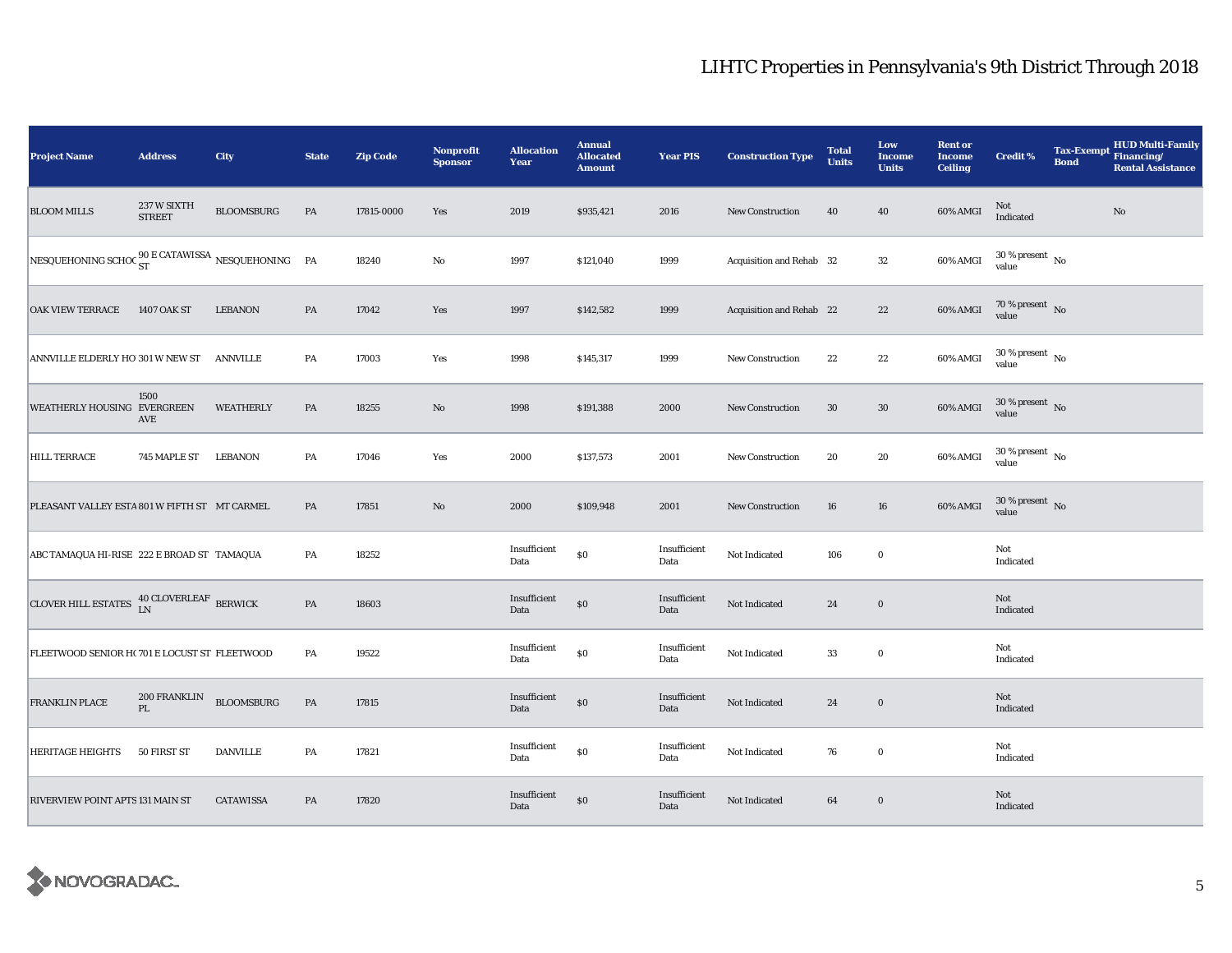| <b>Project Name</b>                                                   | <b>Address</b>               | City              | <b>State</b> | <b>Zip Code</b> | Nonprofit<br><b>Sponsor</b> | <b>Allocation</b><br>Year | <b>Annual</b><br><b>Allocated</b><br><b>Amount</b> | <b>Year PIS</b>      | <b>Construction Type</b> | <b>Total</b><br><b>Units</b> | Low<br><b>Income</b><br><b>Units</b> | <b>Rent or</b><br><b>Income</b><br><b>Ceiling</b> | <b>Credit %</b>                | <b>Tax-Exempt</b><br><b>Bond</b> | HUD Multi-Family<br>Financing/<br><b>Rental Assistance</b> |
|-----------------------------------------------------------------------|------------------------------|-------------------|--------------|-----------------|-----------------------------|---------------------------|----------------------------------------------------|----------------------|--------------------------|------------------------------|--------------------------------------|---------------------------------------------------|--------------------------------|----------------------------------|------------------------------------------------------------|
| <b>BLOOM MILLS</b>                                                    | 237 W SIXTH<br><b>STREET</b> | <b>BLOOMSBURG</b> | PA           | 17815-0000      | Yes                         | 2019                      | \$935,421                                          | 2016                 | <b>New Construction</b>  | 40                           | 40                                   | 60% AMGI                                          | $\rm Not$ Indicated            |                                  | $\rm No$                                                   |
| NESQUEHONING SCHOC $_{\rm ST}^{90\rm \,E\,CATAWISSA}$ NESQUEHONING PA |                              |                   |              | 18240           | $\rm No$                    | 1997                      | \$121,040                                          | 1999                 | Acquisition and Rehab 32 |                              | $32\,$                               | 60% AMGI                                          | $30\,\%$ present $\,$ No value |                                  |                                                            |
| <b>OAK VIEW TERRACE</b>                                               | 1407 OAK ST                  | <b>LEBANON</b>    | PA           | 17042           | Yes                         | 1997                      | \$142,582                                          | 1999                 | Acquisition and Rehab 22 |                              | $22\,$                               | 60% AMGI                                          | $70\,\%$ present $\,$ No value |                                  |                                                            |
| ANNVILLE ELDERLY HO 301 W NEW ST                                      |                              | ANNVILLE          | PA           | 17003           | Yes                         | 1998                      | \$145,317                                          | 1999                 | <b>New Construction</b>  | 22                           | 22                                   | 60% AMGI                                          | $30\,\%$ present $\,$ No value |                                  |                                                            |
| WEATHERLY HOUSING EVERGREEN                                           | 1500<br>AVE                  | WEATHERLY         | PA           | 18255           | $\rm No$                    | 1998                      | \$191,388                                          | 2000                 | New Construction         | 30                           | $30\,$                               | $60\%$ AMGI                                       | $30\,\%$ present $\,$ No value |                                  |                                                            |
| <b>HILL TERRACE</b>                                                   | 745 MAPLE ST LEBANON         |                   | PA           | 17046           | Yes                         | 2000                      | \$137,573                                          | 2001                 | <b>New Construction</b>  | 20                           | 20                                   | 60% AMGI                                          | $30\,\%$ present $\,$ No value |                                  |                                                            |
| PLEASANT VALLEY ESTA 801 W FIFTH ST MT CARMEL                         |                              |                   | PA           | 17851           | $\rm No$                    | 2000                      | \$109,948                                          | 2001                 | <b>New Construction</b>  | 16                           | 16                                   | 60% AMGI                                          | $30\,\%$ present $\,$ No value |                                  |                                                            |
| ABC TAMAQUA HI-RISE 222 E BROAD ST TAMAQUA                            |                              |                   | PA           | 18252           |                             | Insufficient<br>Data      | $\$0$                                              | Insufficient<br>Data | Not Indicated            | 106                          | $\mathbf 0$                          |                                                   | Not<br>Indicated               |                                  |                                                            |
| CLOVER HILL ESTATES <sup>40</sup> CLOVERLEAF BERWICK                  |                              |                   | PA           | 18603           |                             | Insufficient<br>Data      | $\$0$                                              | Insufficient<br>Data | Not Indicated            | 24                           | $\mathbf 0$                          |                                                   | Not<br>Indicated               |                                  |                                                            |
| FLEETWOOD SENIOR H(701 E LOCUST ST FLEETWOOD                          |                              |                   | PA           | 19522           |                             | Insufficient<br>Data      | $\$0$                                              | Insufficient<br>Data | Not Indicated            | 33                           | $\bf{0}$                             |                                                   | Not<br>Indicated               |                                  |                                                            |
| <b>FRANKLIN PLACE</b>                                                 | 200 FRANKLIN<br>PL           | <b>BLOOMSBURG</b> | PA           | 17815           |                             | Insufficient<br>Data      | $\$0$                                              | Insufficient<br>Data | Not Indicated            | 24                           | $\bf{0}$                             |                                                   | Not<br>Indicated               |                                  |                                                            |
| <b>HERITAGE HEIGHTS</b>                                               | 50 FIRST ST                  | <b>DANVILLE</b>   | PA           | 17821           |                             | Insufficient<br>Data      | $\$0$                                              | Insufficient<br>Data | Not Indicated            | 76                           | $\mathbf 0$                          |                                                   | Not<br>Indicated               |                                  |                                                            |
| RIVERVIEW POINT APTS 131 MAIN ST                                      |                              | <b>CATAWISSA</b>  | PA           | 17820           |                             | Insufficient<br>Data      | $\$0$                                              | Insufficient<br>Data | Not Indicated            | 64                           | $\mathbf 0$                          |                                                   | Not<br>Indicated               |                                  |                                                            |

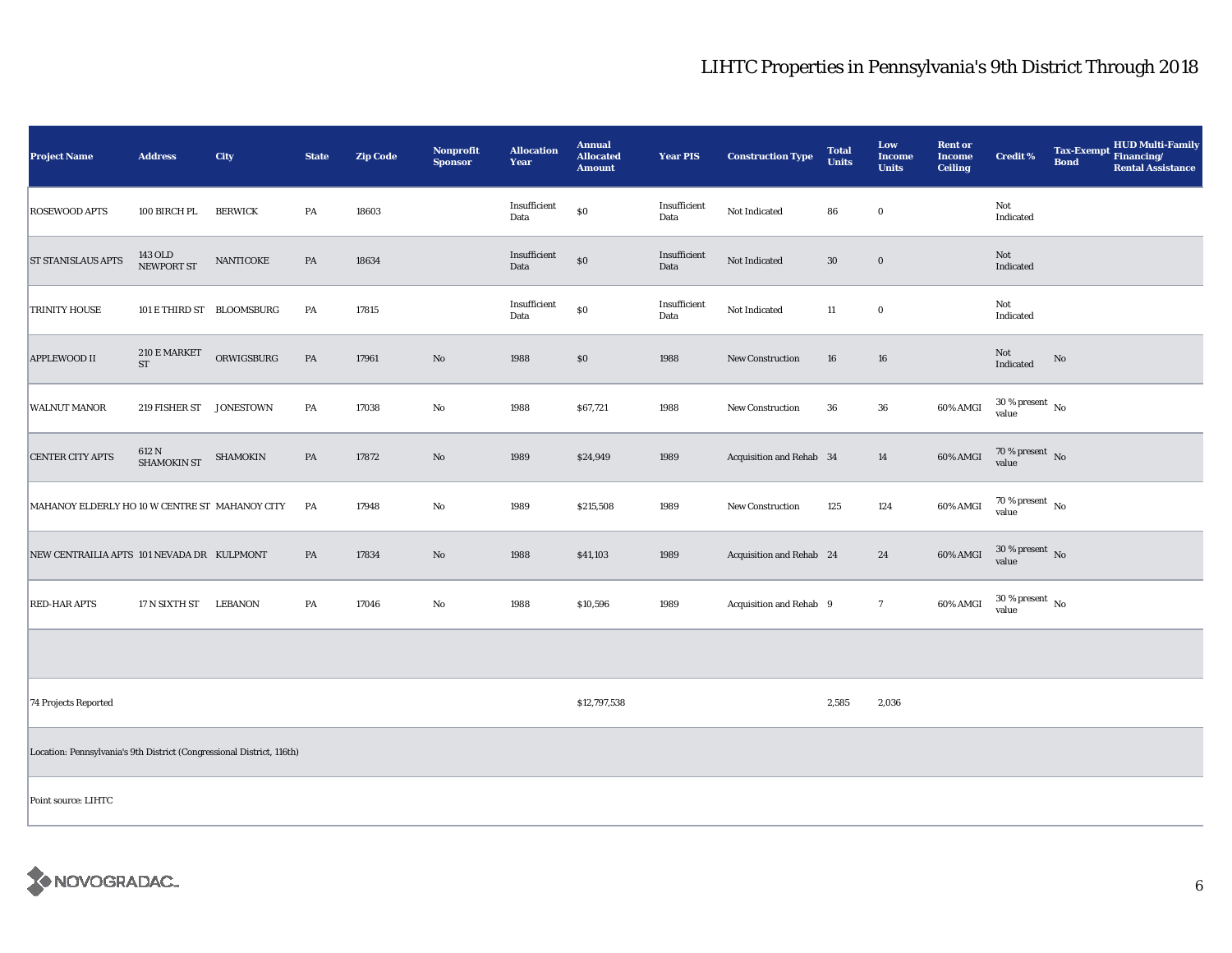| <b>Project Name</b>                                                   | <b>Address</b>              | City           | <b>State</b>  | <b>Zip Code</b> | Nonprofit<br><b>Sponsor</b> | <b>Allocation</b><br>Year | <b>Annual</b><br><b>Allocated</b><br><b>Amount</b> | <b>Year PIS</b>      | <b>Construction Type</b> | <b>Total</b><br><b>Units</b> | Low<br><b>Income</b><br><b>Units</b> | <b>Rent or</b><br><b>Income</b><br><b>Ceiling</b> | <b>Credit %</b>                | Tax-Exempt HUD Multi-Family<br><b>Bond</b><br><b>Rental Assistance</b> |
|-----------------------------------------------------------------------|-----------------------------|----------------|---------------|-----------------|-----------------------------|---------------------------|----------------------------------------------------|----------------------|--------------------------|------------------------------|--------------------------------------|---------------------------------------------------|--------------------------------|------------------------------------------------------------------------|
| <b>ROSEWOOD APTS</b>                                                  | 100 BIRCH PL                | <b>BERWICK</b> | PA            | 18603           |                             | Insufficient<br>Data      | $\$0$                                              | Insufficient<br>Data | Not Indicated            | 86                           | $\bf{0}$                             |                                                   | Not<br>Indicated               |                                                                        |
| <b>ST STANISLAUS APTS</b>                                             | 143 OLD<br>NEWPORT ST       | NANTICOKE      | PA            | 18634           |                             | Insufficient<br>Data      | $\$0$                                              | Insufficient<br>Data | Not Indicated            | $30\,$                       | $\bf{0}$                             |                                                   | Not<br>Indicated               |                                                                        |
| <b>TRINITY HOUSE</b>                                                  | 101 E THIRD ST BLOOMSBURG   |                | PA            | 17815           |                             | Insufficient<br>Data      | $\$0$                                              | Insufficient<br>Data | Not Indicated            | 11                           | $\bf{0}$                             |                                                   | Not<br>Indicated               |                                                                        |
| <b>APPLEWOOD II</b>                                                   | 210 E MARKET<br>${\rm ST}$  | ORWIGSBURG     | $\mathbf{PA}$ | 17961           | $\rm No$                    | 1988                      | \$0                                                | 1988                 | New Construction         | 16                           | 16                                   |                                                   | Not<br>Indicated               | $\rm No$                                                               |
| <b>WALNUT MANOR</b>                                                   | 219 FISHER ST JONESTOWN     |                | PA            | 17038           | No                          | 1988                      | \$67,721                                           | 1988                 | New Construction         | 36                           | $36\,$                               | 60% AMGI                                          | $30\,\%$ present $\,$ No value |                                                                        |
| <b>CENTER CITY APTS</b>                                               | 612 N<br><b>SHAMOKIN ST</b> | SHAMOKIN       | PA            | 17872           | No                          | 1989                      | \$24,949                                           | 1989                 | Acquisition and Rehab 34 |                              | 14                                   | 60% AMGI                                          | $70\,\%$ present $\,$ No value |                                                                        |
| MAHANOY ELDERLY HO 10 W CENTRE ST MAHANOY CITY                        |                             |                | PA            | 17948           | No                          | 1989                      | \$215,508                                          | 1989                 | New Construction         | 125                          | 124                                  | 60% AMGI                                          | $70\,\%$ present $\,$ No value |                                                                        |
| NEW CENTRAILIA APTS 101 NEVADA DR KULPMONT                            |                             |                | PA            | 17834           | $\rm No$                    | 1988                      | \$41,103                                           | 1989                 | Acquisition and Rehab 24 |                              | 24                                   | 60% AMGI                                          | $30\,\%$ present $\,$ No value |                                                                        |
| <b>RED-HAR APTS</b>                                                   | 17 N SIXTH ST               | LEBANON        | PA            | 17046           | $\mathbf{N}\mathbf{o}$      | 1988                      | \$10,596                                           | 1989                 | Acquisition and Rehab 9  |                              | $7\phantom{.0}$                      | 60% AMGI                                          | $30\,\%$ present $\,$ No value |                                                                        |
|                                                                       |                             |                |               |                 |                             |                           |                                                    |                      |                          |                              |                                      |                                                   |                                |                                                                        |
| 74 Projects Reported                                                  |                             |                |               |                 |                             |                           | \$12,797,538                                       |                      |                          | 2,585                        | 2,036                                |                                                   |                                |                                                                        |
| Location: Pennsylvania's 9th District (Congressional District, 116th) |                             |                |               |                 |                             |                           |                                                    |                      |                          |                              |                                      |                                                   |                                |                                                                        |
| Point source: LIHTC                                                   |                             |                |               |                 |                             |                           |                                                    |                      |                          |                              |                                      |                                                   |                                |                                                                        |